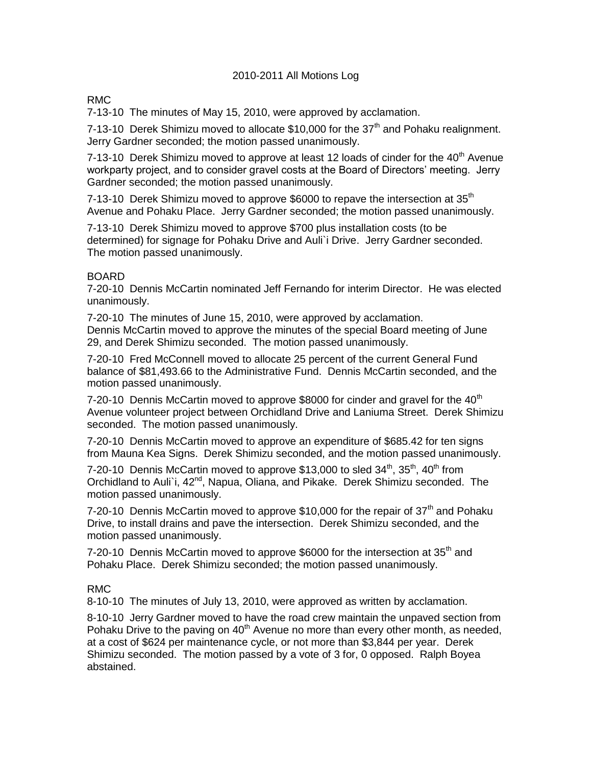### 2010-2011 All Motions Log

# RMC

7-13-10 The minutes of May 15, 2010, were approved by acclamation.

7-13-10 Derek Shimizu moved to allocate  $$10,000$  for the 37<sup>th</sup> and Pohaku realignment. Jerry Gardner seconded; the motion passed unanimously.

7-13-10 Derek Shimizu moved to approve at least 12 loads of cinder for the  $40<sup>th</sup>$  Avenue workparty project, and to consider gravel costs at the Board of Directors' meeting. Jerry Gardner seconded; the motion passed unanimously.

7-13-10 Derek Shimizu moved to approve \$6000 to repave the intersection at  $35<sup>th</sup>$ Avenue and Pohaku Place. Jerry Gardner seconded; the motion passed unanimously.

7-13-10 Derek Shimizu moved to approve \$700 plus installation costs (to be determined) for signage for Pohaku Drive and Auli`i Drive. Jerry Gardner seconded. The motion passed unanimously.

#### BOARD

7-20-10 Dennis McCartin nominated Jeff Fernando for interim Director. He was elected unanimously.

7-20-10 The minutes of June 15, 2010, were approved by acclamation. Dennis McCartin moved to approve the minutes of the special Board meeting of June 29, and Derek Shimizu seconded. The motion passed unanimously.

7-20-10 Fred McConnell moved to allocate 25 percent of the current General Fund balance of \$81,493.66 to the Administrative Fund. Dennis McCartin seconded, and the motion passed unanimously.

7-20-10 Dennis McCartin moved to approve \$8000 for cinder and gravel for the  $40<sup>th</sup>$ Avenue volunteer project between Orchidland Drive and Laniuma Street. Derek Shimizu seconded. The motion passed unanimously.

7-20-10 Dennis McCartin moved to approve an expenditure of \$685.42 for ten signs from Mauna Kea Signs. Derek Shimizu seconded, and the motion passed unanimously.

7-20-10 Dennis McCartin moved to approve \$13,000 to sled  $34<sup>th</sup>$ ,  $35<sup>th</sup>$ ,  $40<sup>th</sup>$  from Orchidland to Auli`i,  $42^{nd}$ , Napua, Oliana, and Pikake. Derek Shimizu seconded. The motion passed unanimously.

7-20-10 Dennis McCartin moved to approve \$10,000 for the repair of  $37<sup>th</sup>$  and Pohaku Drive, to install drains and pave the intersection. Derek Shimizu seconded, and the motion passed unanimously.

7-20-10 Dennis McCartin moved to approve \$6000 for the intersection at 35<sup>th</sup> and Pohaku Place. Derek Shimizu seconded; the motion passed unanimously.

# RMC

8-10-10 The minutes of July 13, 2010, were approved as written by acclamation.

8-10-10 Jerry Gardner moved to have the road crew maintain the unpaved section from Pohaku Drive to the paving on  $40<sup>th</sup>$  Avenue no more than every other month, as needed, at a cost of \$624 per maintenance cycle, or not more than \$3,844 per year. Derek Shimizu seconded. The motion passed by a vote of 3 for, 0 opposed. Ralph Boyea abstained.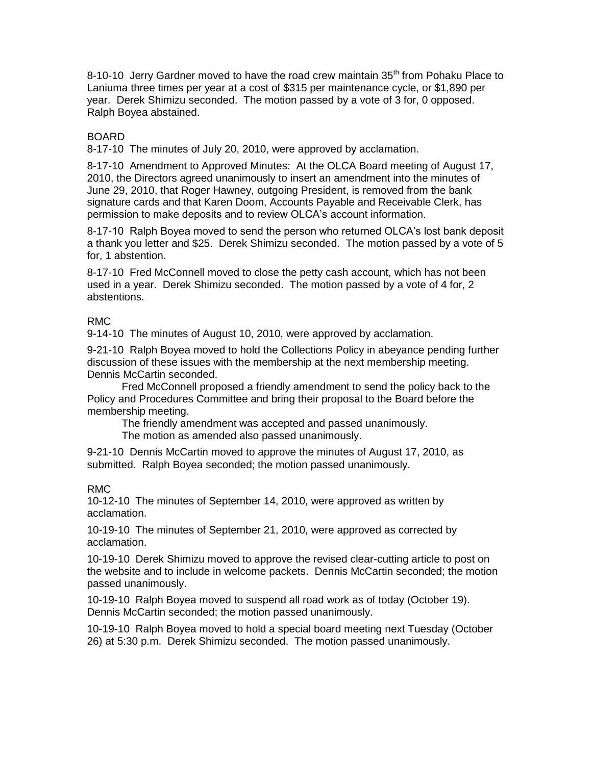8-10-10 Jerry Gardner moved to have the road crew maintain  $35<sup>th</sup>$  from Pohaku Place to Laniuma three times per year at a cost of \$315 per maintenance cycle, or \$1,890 per year. Derek Shimizu seconded. The motion passed by a vote of 3 for, 0 opposed. Ralph Boyea abstained.

# BOARD

8-17-10 The minutes of July 20, 2010, were approved by acclamation.

8-17-10 Amendment to Approved Minutes: At the OLCA Board meeting of August 17, 2010, the Directors agreed unanimously to insert an amendment into the minutes of June 29, 2010, that Roger Hawney, outgoing President, is removed from the bank signature cards and that Karen Doom, Accounts Payable and Receivable Clerk, has permission to make deposits and to review OLCA's account information.

8-17-10 Ralph Boyea moved to send the person who returned OLCA's lost bank deposit a thank you letter and \$25. Derek Shimizu seconded. The motion passed by a vote of 5 for, 1 abstention.

8-17-10 Fred McConnell moved to close the petty cash account, which has not been used in a year. Derek Shimizu seconded. The motion passed by a vote of 4 for, 2 abstentions.

# RMC

9-14-10 The minutes of August 10, 2010, were approved by acclamation.

9-21-10 Ralph Boyea moved to hold the Collections Policy in abeyance pending further discussion of these issues with the membership at the next membership meeting. Dennis McCartin seconded.

Fred McConnell proposed a friendly amendment to send the policy back to the Policy and Procedures Committee and bring their proposal to the Board before the membership meeting.

The friendly amendment was accepted and passed unanimously.

The motion as amended also passed unanimously.

9-21-10 Dennis McCartin moved to approve the minutes of August 17, 2010, as submitted. Ralph Boyea seconded; the motion passed unanimously.

# RMC

10-12-10 The minutes of September 14, 2010, were approved as written by acclamation.

10-19-10 The minutes of September 21, 2010, were approved as corrected by acclamation.

10-19-10 Derek Shimizu moved to approve the revised clear-cutting article to post on the website and to include in welcome packets. Dennis McCartin seconded; the motion passed unanimously.

10-19-10 Ralph Boyea moved to suspend all road work as of today (October 19). Dennis McCartin seconded; the motion passed unanimously.

10-19-10 Ralph Boyea moved to hold a special board meeting next Tuesday (October 26) at 5:30 p.m. Derek Shimizu seconded. The motion passed unanimously.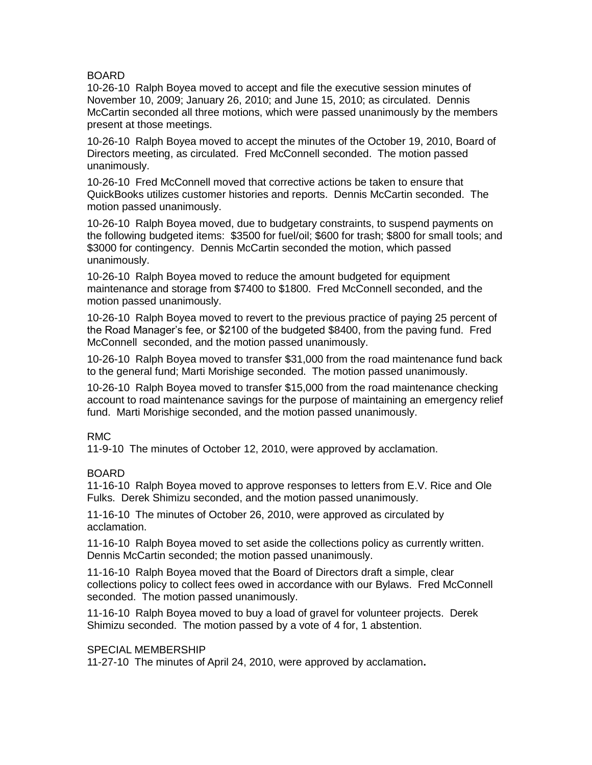### BOARD

10-26-10 Ralph Boyea moved to accept and file the executive session minutes of November 10, 2009; January 26, 2010; and June 15, 2010; as circulated. Dennis McCartin seconded all three motions, which were passed unanimously by the members present at those meetings.

10-26-10 Ralph Boyea moved to accept the minutes of the October 19, 2010, Board of Directors meeting, as circulated. Fred McConnell seconded. The motion passed unanimously.

10-26-10 Fred McConnell moved that corrective actions be taken to ensure that QuickBooks utilizes customer histories and reports. Dennis McCartin seconded. The motion passed unanimously.

10-26-10 Ralph Boyea moved, due to budgetary constraints, to suspend payments on the following budgeted items: \$3500 for fuel/oil; \$600 for trash; \$800 for small tools; and \$3000 for contingency. Dennis McCartin seconded the motion, which passed unanimously.

10-26-10 Ralph Boyea moved to reduce the amount budgeted for equipment maintenance and storage from \$7400 to \$1800. Fred McConnell seconded, and the motion passed unanimously.

10-26-10 Ralph Boyea moved to revert to the previous practice of paying 25 percent of the Road Manager's fee, or \$2100 of the budgeted \$8400, from the paving fund. Fred McConnell seconded, and the motion passed unanimously.

10-26-10 Ralph Boyea moved to transfer \$31,000 from the road maintenance fund back to the general fund; Marti Morishige seconded. The motion passed unanimously.

10-26-10 Ralph Boyea moved to transfer \$15,000 from the road maintenance checking account to road maintenance savings for the purpose of maintaining an emergency relief fund. Marti Morishige seconded, and the motion passed unanimously.

#### RMC

11-9-10 The minutes of October 12, 2010, were approved by acclamation.

# BOARD

11-16-10 Ralph Boyea moved to approve responses to letters from E.V. Rice and Ole Fulks. Derek Shimizu seconded, and the motion passed unanimously.

11-16-10 The minutes of October 26, 2010, were approved as circulated by acclamation.

11-16-10 Ralph Boyea moved to set aside the collections policy as currently written. Dennis McCartin seconded; the motion passed unanimously.

11-16-10 Ralph Boyea moved that the Board of Directors draft a simple, clear collections policy to collect fees owed in accordance with our Bylaws. Fred McConnell seconded. The motion passed unanimously.

11-16-10 Ralph Boyea moved to buy a load of gravel for volunteer projects. Derek Shimizu seconded. The motion passed by a vote of 4 for, 1 abstention.

#### SPECIAL MEMBERSHIP

11-27-10 The minutes of April 24, 2010, were approved by acclamation**.**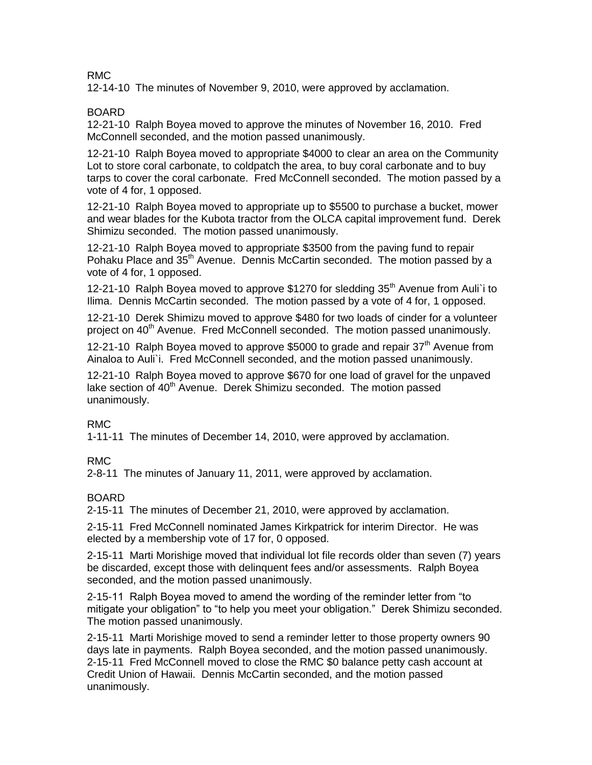### RMC

12-14-10 The minutes of November 9, 2010, were approved by acclamation.

### BOARD

12-21-10 Ralph Boyea moved to approve the minutes of November 16, 2010. Fred McConnell seconded, and the motion passed unanimously.

12-21-10 Ralph Boyea moved to appropriate \$4000 to clear an area on the Community Lot to store coral carbonate, to coldpatch the area, to buy coral carbonate and to buy tarps to cover the coral carbonate. Fred McConnell seconded. The motion passed by a vote of 4 for, 1 opposed.

12-21-10 Ralph Boyea moved to appropriate up to \$5500 to purchase a bucket, mower and wear blades for the Kubota tractor from the OLCA capital improvement fund. Derek Shimizu seconded. The motion passed unanimously.

12-21-10 Ralph Boyea moved to appropriate \$3500 from the paving fund to repair Pohaku Place and 35<sup>th</sup> Avenue. Dennis McCartin seconded. The motion passed by a vote of 4 for, 1 opposed.

12-21-10 Ralph Boyea moved to approve \$1270 for sledding 35<sup>th</sup> Avenue from Auli<sup>t</sup> i to Ilima. Dennis McCartin seconded. The motion passed by a vote of 4 for, 1 opposed.

12-21-10 Derek Shimizu moved to approve \$480 for two loads of cinder for a volunteer project on 40<sup>th</sup> Avenue. Fred McConnell seconded. The motion passed unanimously.

12-21-10 Ralph Boyea moved to approve \$5000 to grade and repair  $37<sup>th</sup>$  Avenue from Ainaloa to Auli`i. Fred McConnell seconded, and the motion passed unanimously.

12-21-10 Ralph Boyea moved to approve \$670 for one load of gravel for the unpaved lake section of 40<sup>th</sup> Avenue. Derek Shimizu seconded. The motion passed unanimously.

# RMC

1-11-11 The minutes of December 14, 2010, were approved by acclamation.

# RMC

2-8-11 The minutes of January 11, 2011, were approved by acclamation.

# BOARD

2-15-11 The minutes of December 21, 2010, were approved by acclamation.

2-15-11 Fred McConnell nominated James Kirkpatrick for interim Director. He was elected by a membership vote of 17 for, 0 opposed.

2-15-11 Marti Morishige moved that individual lot file records older than seven (7) years be discarded, except those with delinquent fees and/or assessments. Ralph Boyea seconded, and the motion passed unanimously.

2-15-11 Ralph Boyea moved to amend the wording of the reminder letter from "to mitigate your obligation" to "to help you meet your obligation." Derek Shimizu seconded. The motion passed unanimously.

2-15-11 Marti Morishige moved to send a reminder letter to those property owners 90 days late in payments. Ralph Boyea seconded, and the motion passed unanimously. 2-15-11 Fred McConnell moved to close the RMC \$0 balance petty cash account at Credit Union of Hawaii. Dennis McCartin seconded, and the motion passed unanimously.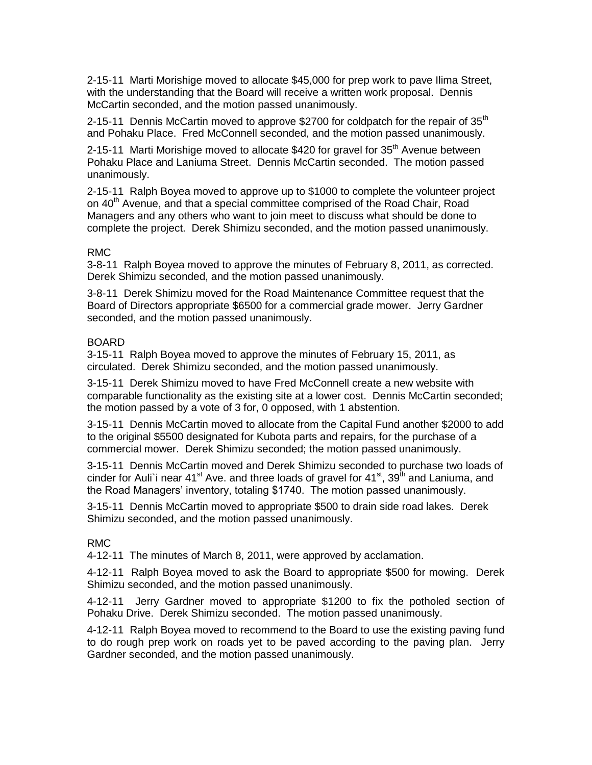2-15-11 Marti Morishige moved to allocate \$45,000 for prep work to pave Ilima Street, with the understanding that the Board will receive a written work proposal. Dennis McCartin seconded, and the motion passed unanimously.

2-15-11 Dennis McCartin moved to approve \$2700 for coldpatch for the repair of  $35<sup>th</sup>$ and Pohaku Place. Fred McConnell seconded, and the motion passed unanimously.

2-15-11 Marti Morishige moved to allocate \$420 for gravel for  $35<sup>th</sup>$  Avenue between Pohaku Place and Laniuma Street. Dennis McCartin seconded. The motion passed unanimously.

2-15-11 Ralph Boyea moved to approve up to \$1000 to complete the volunteer project on 40<sup>th</sup> Avenue, and that a special committee comprised of the Road Chair, Road Managers and any others who want to join meet to discuss what should be done to complete the project. Derek Shimizu seconded, and the motion passed unanimously.

#### RMC

3-8-11 Ralph Boyea moved to approve the minutes of February 8, 2011, as corrected. Derek Shimizu seconded, and the motion passed unanimously.

3-8-11 Derek Shimizu moved for the Road Maintenance Committee request that the Board of Directors appropriate \$6500 for a commercial grade mower. Jerry Gardner seconded, and the motion passed unanimously.

#### BOARD

3-15-11 Ralph Boyea moved to approve the minutes of February 15, 2011, as circulated. Derek Shimizu seconded, and the motion passed unanimously.

3-15-11 Derek Shimizu moved to have Fred McConnell create a new website with comparable functionality as the existing site at a lower cost. Dennis McCartin seconded; the motion passed by a vote of 3 for, 0 opposed, with 1 abstention.

3-15-11 Dennis McCartin moved to allocate from the Capital Fund another \$2000 to add to the original \$5500 designated for Kubota parts and repairs, for the purchase of a commercial mower. Derek Shimizu seconded; the motion passed unanimously.

3-15-11 Dennis McCartin moved and Derek Shimizu seconded to purchase two loads of cinder for Auli'i near  $41^{st}$  Ave. and three loads of gravel for  $41^{st}$ ,  $39^{th}$  and Laniuma, and the Road Managers' inventory, totaling \$1740. The motion passed unanimously.

3-15-11 Dennis McCartin moved to appropriate \$500 to drain side road lakes. Derek Shimizu seconded, and the motion passed unanimously.

# RMC

4-12-11 The minutes of March 8, 2011, were approved by acclamation.

4-12-11 Ralph Boyea moved to ask the Board to appropriate \$500 for mowing. Derek Shimizu seconded, and the motion passed unanimously.

4-12-11 Jerry Gardner moved to appropriate \$1200 to fix the potholed section of Pohaku Drive. Derek Shimizu seconded. The motion passed unanimously.

4-12-11 Ralph Boyea moved to recommend to the Board to use the existing paving fund to do rough prep work on roads yet to be paved according to the paving plan. Jerry Gardner seconded, and the motion passed unanimously.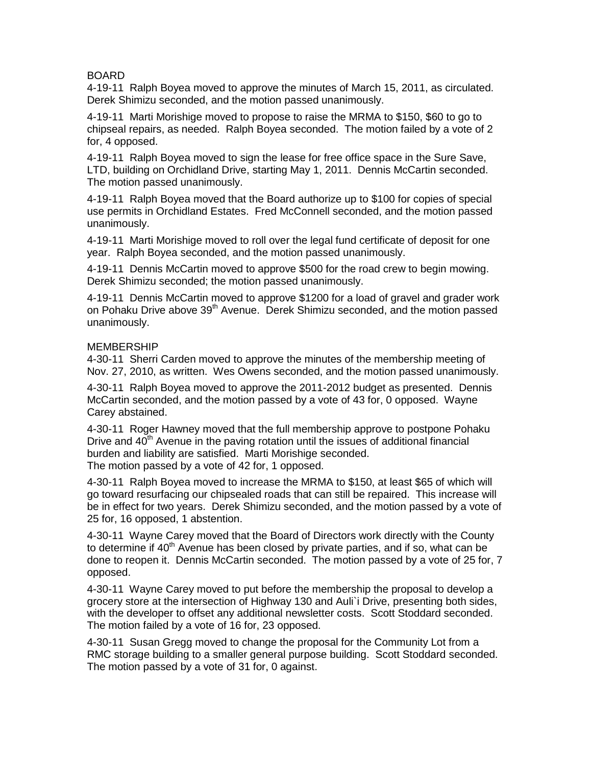### BOARD

4-19-11 Ralph Boyea moved to approve the minutes of March 15, 2011, as circulated. Derek Shimizu seconded, and the motion passed unanimously.

4-19-11 Marti Morishige moved to propose to raise the MRMA to \$150, \$60 to go to chipseal repairs, as needed. Ralph Boyea seconded. The motion failed by a vote of 2 for, 4 opposed.

4-19-11 Ralph Boyea moved to sign the lease for free office space in the Sure Save, LTD, building on Orchidland Drive, starting May 1, 2011. Dennis McCartin seconded. The motion passed unanimously.

4-19-11 Ralph Boyea moved that the Board authorize up to \$100 for copies of special use permits in Orchidland Estates. Fred McConnell seconded, and the motion passed unanimously.

4-19-11 Marti Morishige moved to roll over the legal fund certificate of deposit for one year. Ralph Boyea seconded, and the motion passed unanimously.

4-19-11 Dennis McCartin moved to approve \$500 for the road crew to begin mowing. Derek Shimizu seconded; the motion passed unanimously.

4-19-11 Dennis McCartin moved to approve \$1200 for a load of gravel and grader work on Pohaku Drive above 39<sup>th</sup> Avenue. Derek Shimizu seconded, and the motion passed unanimously.

#### MEMBERSHIP

4-30-11 Sherri Carden moved to approve the minutes of the membership meeting of Nov. 27, 2010, as written. Wes Owens seconded, and the motion passed unanimously.

4-30-11 Ralph Boyea moved to approve the 2011-2012 budget as presented. Dennis McCartin seconded, and the motion passed by a vote of 43 for, 0 opposed. Wayne Carey abstained.

4-30-11 Roger Hawney moved that the full membership approve to postpone Pohaku Drive and  $40<sup>th</sup>$  Avenue in the paving rotation until the issues of additional financial burden and liability are satisfied. Marti Morishige seconded. The motion passed by a vote of 42 for, 1 opposed.

4-30-11 Ralph Boyea moved to increase the MRMA to \$150, at least \$65 of which will go toward resurfacing our chipsealed roads that can still be repaired. This increase will be in effect for two years. Derek Shimizu seconded, and the motion passed by a vote of 25 for, 16 opposed, 1 abstention.

4-30-11 Wayne Carey moved that the Board of Directors work directly with the County to determine if 40<sup>th</sup> Avenue has been closed by private parties, and if so, what can be done to reopen it. Dennis McCartin seconded. The motion passed by a vote of 25 for, 7 opposed.

4-30-11 Wayne Carey moved to put before the membership the proposal to develop a grocery store at the intersection of Highway 130 and Auli`i Drive, presenting both sides, with the developer to offset any additional newsletter costs. Scott Stoddard seconded. The motion failed by a vote of 16 for, 23 opposed.

4-30-11 Susan Gregg moved to change the proposal for the Community Lot from a RMC storage building to a smaller general purpose building. Scott Stoddard seconded. The motion passed by a vote of 31 for, 0 against.